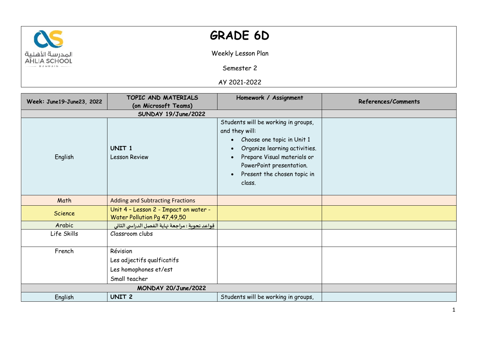

## **GRADE 6D**

Weekly Lesson Plan

Semester 2

AY 2021-2022

| Week: June19-June23, 2022 | TOPIC AND MATERIALS                                                  | Homework / Assignment                                                                                                                                                                                                                 | References/Comments |
|---------------------------|----------------------------------------------------------------------|---------------------------------------------------------------------------------------------------------------------------------------------------------------------------------------------------------------------------------------|---------------------|
|                           | (on Microsoft Teams)                                                 |                                                                                                                                                                                                                                       |                     |
|                           | SUNDAY 19/June/2022                                                  |                                                                                                                                                                                                                                       |                     |
| English                   | UNIT <sub>1</sub><br><b>Lesson Review</b>                            | Students will be working in groups,<br>and they will:<br>Choose one topic in Unit 1<br>$\bullet$<br>Organize learning activities.<br>Prepare Visual materials or<br>PowerPoint presentation.<br>Present the chosen topic in<br>class. |                     |
| Math                      | <b>Adding and Subtracting Fractions</b>                              |                                                                                                                                                                                                                                       |                     |
| Science                   | Unit 4 - Lesson 2 - Impact on water -<br>Water Pollution Pg 47,49,50 |                                                                                                                                                                                                                                       |                     |
| Arabic                    | <u>قواعد نحوية</u> : مراجعة نهاية الفصل الدراسي الثاني               |                                                                                                                                                                                                                                       |                     |
| Life Skills               | Classroom clubs                                                      |                                                                                                                                                                                                                                       |                     |
| French                    | Révision                                                             |                                                                                                                                                                                                                                       |                     |
|                           | Les adjectifs qualficatifs                                           |                                                                                                                                                                                                                                       |                     |
|                           | Les homophones et/est                                                |                                                                                                                                                                                                                                       |                     |
|                           | Small teacher                                                        |                                                                                                                                                                                                                                       |                     |
| MONDAY 20/June/2022       |                                                                      |                                                                                                                                                                                                                                       |                     |
| English                   | UNIT <sub>2</sub>                                                    | Students will be working in groups,                                                                                                                                                                                                   |                     |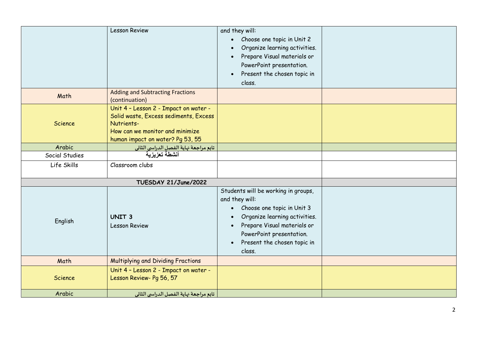|                | <b>Lesson Review</b>                                                                                                                                                | and they will:<br>Choose one topic in Unit 2<br>$\bullet$<br>Organize learning activities.<br>Prepare Visual materials or<br>PowerPoint presentation.<br>Present the chosen topic in<br>$\bullet$<br>class.                                                     |  |
|----------------|---------------------------------------------------------------------------------------------------------------------------------------------------------------------|-----------------------------------------------------------------------------------------------------------------------------------------------------------------------------------------------------------------------------------------------------------------|--|
| Math           | <b>Adding and Subtracting Fractions</b><br>(continuation)                                                                                                           |                                                                                                                                                                                                                                                                 |  |
| Science        | Unit 4 - Lesson 2 - Impact on water -<br>Solid waste, Excess sediments, Excess<br>Nutrients-<br>How can we monitor and minimize<br>human impact on water? Pg 53, 55 |                                                                                                                                                                                                                                                                 |  |
| Arabic         | <mark>تابع مراجعة <sup>ب</sup>هاية الفصل الدر</mark> ام <mark>ى الثانى</mark><br>أنشطة تعزيزية                                                                      |                                                                                                                                                                                                                                                                 |  |
| Social Studies |                                                                                                                                                                     |                                                                                                                                                                                                                                                                 |  |
| Life Skills    | Classroom clubs                                                                                                                                                     |                                                                                                                                                                                                                                                                 |  |
|                | TUESDAY 21/June/2022                                                                                                                                                |                                                                                                                                                                                                                                                                 |  |
| English        | UNIT <sub>3</sub><br><b>Lesson Review</b>                                                                                                                           | Students will be working in groups,<br>and they will:<br>Choose one topic in Unit 3<br>$\bullet$<br>Organize learning activities.<br>$\bullet$<br>Prepare Visual materials or<br>PowerPoint presentation.<br>Present the chosen topic in<br>$\bullet$<br>class. |  |
| Math           | Multiplying and Dividing Fractions                                                                                                                                  |                                                                                                                                                                                                                                                                 |  |
| Science        | Unit 4 - Lesson 2 - Impact on water -<br>Lesson Review- Pg 56, 57                                                                                                   |                                                                                                                                                                                                                                                                 |  |
| Arabic         | تابع مراجعة نهاية الفصل الدراسي الثاني                                                                                                                              |                                                                                                                                                                                                                                                                 |  |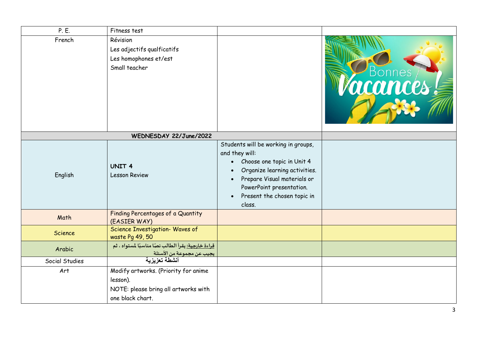| P. E.          | Fitness test                                                                                                 |                                                                                                                                                                                                                                                                              |        |
|----------------|--------------------------------------------------------------------------------------------------------------|------------------------------------------------------------------------------------------------------------------------------------------------------------------------------------------------------------------------------------------------------------------------------|--------|
| French         | Révision<br>Les adjectifs qualficatifs<br>Les homophones et/est<br>Small teacher                             |                                                                                                                                                                                                                                                                              | Bonnes |
|                | WEDNESDAY 22/June/2022                                                                                       |                                                                                                                                                                                                                                                                              |        |
| English        | <b>UNIT 4</b><br><b>Lesson Review</b>                                                                        | Students will be working in groups,<br>and they will:<br>Choose one topic in Unit 4<br>$\bullet$<br>Organize learning activities.<br>$\bullet$<br>Prepare Visual materials or<br>$\bullet$<br>PowerPoint presentation.<br>Present the chosen topic in<br>$\bullet$<br>class. |        |
| Math           | Finding Percentages of a Quantity<br>(EASIER WAY)                                                            |                                                                                                                                                                                                                                                                              |        |
| Science        | Science Investigation- Waves of<br>waste Pg 49, 50                                                           |                                                                                                                                                                                                                                                                              |        |
| Arabic         | قراءة خارجية: يقرأ الطالب نصًا مناسبًا لمستواه ، ثم<br>يجيب عن مجموعة من الأسئلة                             |                                                                                                                                                                                                                                                                              |        |
| Social Studies | أنشطة تعزيزية                                                                                                |                                                                                                                                                                                                                                                                              |        |
| Art            | Modify artworks. (Priority for anime<br>lesson).<br>NOTE: please bring all artworks with<br>one black chart. |                                                                                                                                                                                                                                                                              |        |